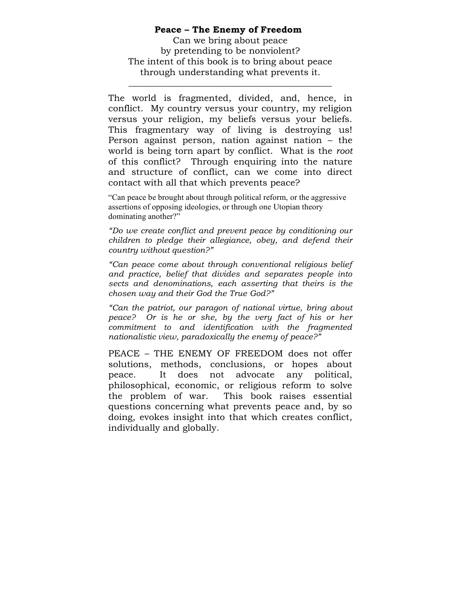### **Peace – The Enemy of Freedom**

Can we bring about peace by pretending to be nonviolent? The intent of this book is to bring about peace through understanding what prevents it.

\_\_\_\_\_\_\_\_\_\_\_\_\_\_\_\_\_\_\_\_\_\_\_\_\_\_\_\_\_\_\_\_\_\_\_\_\_\_\_\_\_\_\_\_\_

The world is fragmented, divided, and, hence, in conflict. My country versus your country, my religion versus your religion, my beliefs versus your beliefs. This fragmentary way of living is destroying us! Person against person, nation against nation – the world is being torn apart by conflict. What is the *root* of this conflict? Through enquiring into the nature and structure of conflict, can we come into direct contact with all that which prevents peace?

"Can peace be brought about through political reform, or the aggressive assertions of opposing ideologies, or through one Utopian theory dominating another?"

*"Do we create conflict and prevent peace by conditioning our children to pledge their allegiance, obey, and defend their country without question?"*

*"Can peace come about through conventional religious belief and practice, belief that divides and separates people into sects and denominations, each asserting that theirs is the chosen way and their God the True God?"*

*"Can the patriot, our paragon of national virtue, bring about peace? Or is he or she, by the very fact of his or her commitment to and identification with the fragmented nationalistic view, paradoxically the enemy of peace?"*

PEACE – THE ENEMY OF FREEDOM does not offer solutions, methods, conclusions, or hopes about peace. It does not advocate any political, philosophical, economic, or religious reform to solve the problem of war. This book raises essential questions concerning what prevents peace and, by so doing, evokes insight into that which creates conflict, individually and globally.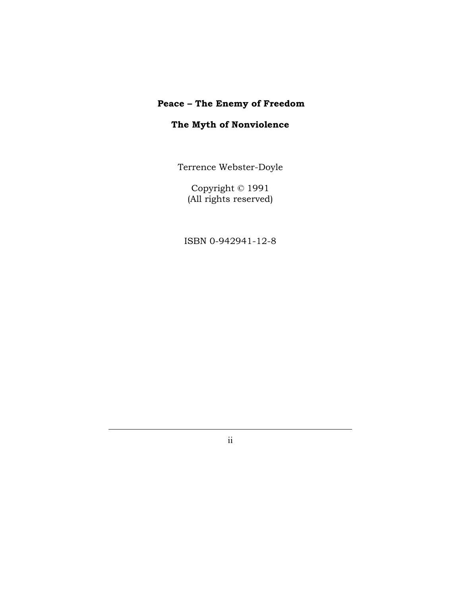# **Peace – The Enemy of Freedom**

# **The Myth of Nonviolence**

Terrence Webster-Doyle

Copyright © 1991 (All rights reserved)

ISBN 0-942941-12-8

ii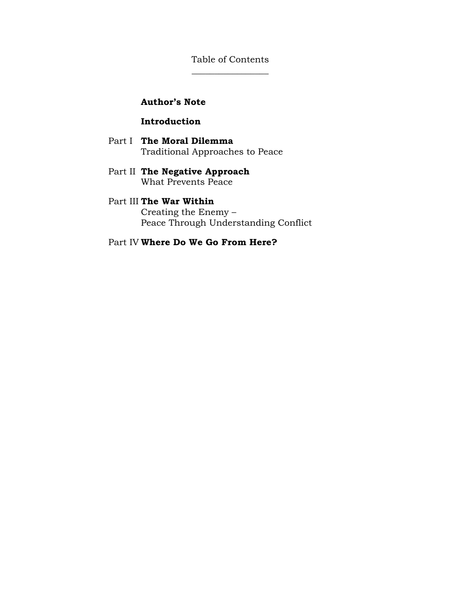Table of Contents  $\overline{\phantom{a}}$  , where  $\overline{\phantom{a}}$ 

## **Author's Note**

## **Introduction**

- Part I **The Moral Dilemma** Traditional Approaches to Peace
- Part II **The Negative Approach** What Prevents Peace

#### Part III **The War Within**

Creating the Enemy – Peace Through Understanding Conflict

Part IV **Where Do We Go From Here?**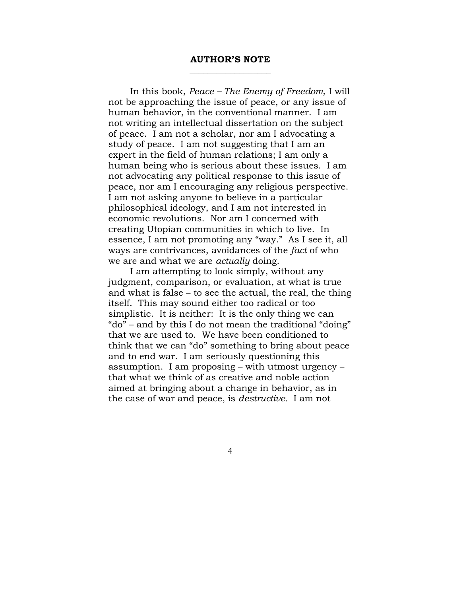#### **AUTHOR'S NOTE** \_\_\_\_\_\_\_\_\_\_\_\_\_\_\_\_\_\_

In this book, *Peace – The Enemy of Freedom,* I will not be approaching the issue of peace, or any issue of human behavior, in the conventional manner. I am not writing an intellectual dissertation on the subject of peace. I am not a scholar, nor am I advocating a study of peace. I am not suggesting that I am an expert in the field of human relations; I am only a human being who is serious about these issues. I am not advocating any political response to this issue of peace, nor am I encouraging any religious perspective. I am not asking anyone to believe in a particular philosophical ideology, and I am not interested in economic revolutions. Nor am I concerned with creating Utopian communities in which to live. In essence, I am not promoting any "way." As I see it, all ways are contrivances, avoidances of the *fact* of who we are and what we are *actually* doing.

I am attempting to look simply, without any judgment, comparison, or evaluation, at what is true and what is false – to see the actual, the real, the thing itself. This may sound either too radical or too simplistic. It is neither: It is the only thing we can "do" – and by this I do not mean the traditional "doing" that we are used to. We have been conditioned to think that we can "do" something to bring about peace and to end war. I am seriously questioning this assumption. I am proposing – with utmost urgency – that what we think of as creative and noble action aimed at bringing about a change in behavior, as in the case of war and peace, is *destructive.* I am not

4